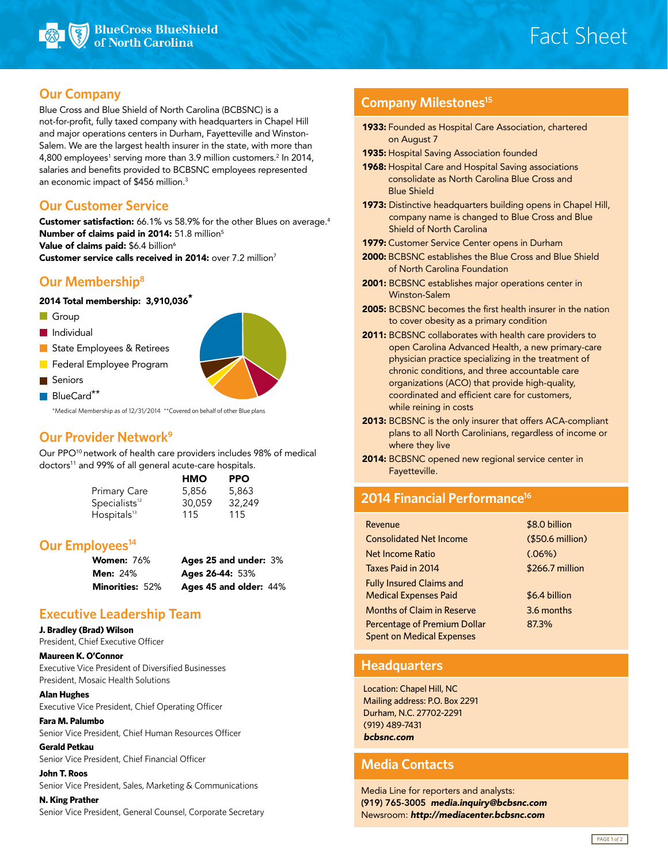

# Fact Sheet

### **Our Company**

Blue Cross and Blue Shield of North Carolina (BCBSNC) is a not-for-profit, fully taxed company with headquarters in Chapel Hill and major operations centers in Durham, Fayetteville and Winston-Salem. We are the largest health insurer in the state, with more than 4,800 employees<sup>1</sup> serving more than 3.9 million customers.<sup>2</sup> In 2014, salaries and benefits provided to BCBSNC employees represented an economic impact of \$456 million.<sup>3</sup>

# **Our Customer Service**

Customer satisfaction: 66.1% vs 58.9% for the other Blues on average.<sup>4</sup> Number of claims paid in 2014: 51.8 million<sup>5</sup> Value of claims paid: \$6.4 billion<sup>6</sup> Customer service calls received in 2014: over 7.2 million<sup>7</sup>

# **Our Membership8**

#### 2014 Total membership: 3,910,036\*

- Group
- **Individual**
- State Employees & Retirees
- **Federal Employee Program**
- **Seniors**  $\blacksquare$  BlueCard<sup>\*\*</sup>



\*Medical Membership as of 12/31/2014 \*\*Covered on behalf of other Blue plans

# **Our Provider Network9**

Our PPO10 network of health care providers includes 98% of medical doctors<sup>11</sup> and 99% of all general acute-care hospitals.

|                                        | HMO    | <b>PPO</b> |
|----------------------------------------|--------|------------|
| Primary Care                           | 5,856  | 5,863      |
| $\mathsf{Specialists}^\text{\tiny 12}$ | 30.059 | 32,249     |
| Hospitals <sup>13</sup>                | 115    | 115        |

# **Our Employees**<sup>14</sup>

| <b>Women:</b> 76% | Ages 25 and under: 3%  |  |
|-------------------|------------------------|--|
| <b>Men:</b> 24%   | Ages 26-44: 53%        |  |
| Minorities: 52%   | Ages 45 and older: 44% |  |

# **Executive Leadership Team**

#### **J. Bradley (Brad) Wilson**

President, Chief Executive Officer

#### **Maureen K. O'Connor**

Executive Vice President of Diversified Businesses President, Mosaic Health Solutions

#### **Alan Hughes**

Executive Vice President, Chief Operating Officer

#### **Fara M. Palumbo**

Senior Vice President, Chief Human Resources Officer

#### **Gerald Petkau**

Senior Vice President, Chief Financial Officer

#### **John T. Roos**

Senior Vice President, Sales, Marketing & Communications

#### **N. King Prather**

Senior Vice President, General Counsel, Corporate Secretary

# **Company Milestones15**

- 1933: Founded as Hospital Care Association, chartered on August 7
- 1935: Hospital Saving Association founded
- 1968: Hospital Care and Hospital Saving associations consolidate as North Carolina Blue Cross and Blue Shield
- 1973: Distinctive headquarters building opens in Chapel Hill, company name is changed to Blue Cross and Blue Shield of North Carolina
- 1979: Customer Service Center opens in Durham
- 2000: BCBSNC establishes the Blue Cross and Blue Shield of North Carolina Foundation
- 2001: BCBSNC establishes major operations center in Winston-Salem
- 2005: BCBSNC becomes the first health insurer in the nation to cover obesity as a primary condition
- 2011: BCBSNC collaborates with health care providers to open Carolina Advanced Health, a new primary-care physician practice specializing in the treatment of chronic conditions, and three accountable care organizations (ACO) that provide high-quality, coordinated and efficient care for customers, while reining in costs
- 2013: BCBSNC is the only insurer that offers ACA-compliant plans to all North Carolinians, regardless of income or where they live
- 2014: BCBSNC opened new regional service center in Fayetteville.

# **2014 Financial Performance16**

| Revenue                             | \$8.0 billion    |
|-------------------------------------|------------------|
| <b>Consolidated Net Income</b>      | (\$50.6 million) |
| Net Income Ratio                    | (.06%)           |
| Taxes Paid in 2014                  | \$266.7 million  |
| <b>Fully Insured Claims and</b>     |                  |
| <b>Medical Expenses Paid</b>        | \$6.4 billion    |
| <b>Months of Claim in Reserve</b>   | 3.6 months       |
| <b>Percentage of Premium Dollar</b> | 87.3%            |
| <b>Spent on Medical Expenses</b>    |                  |

### **Headquarters**

Location: Chapel Hill, NC Mailing address: P.O. Box 2291 Durham, N.C. 27702-2291 (919) 489-7431 *bcbsnc.com*

### **Media Contacts**

Media Line for reporters and analysts: (919) 765-3005 *media.inquiry@bcbsnc.com* Newsroom: *http://mediacenter.bcbsnc.com*